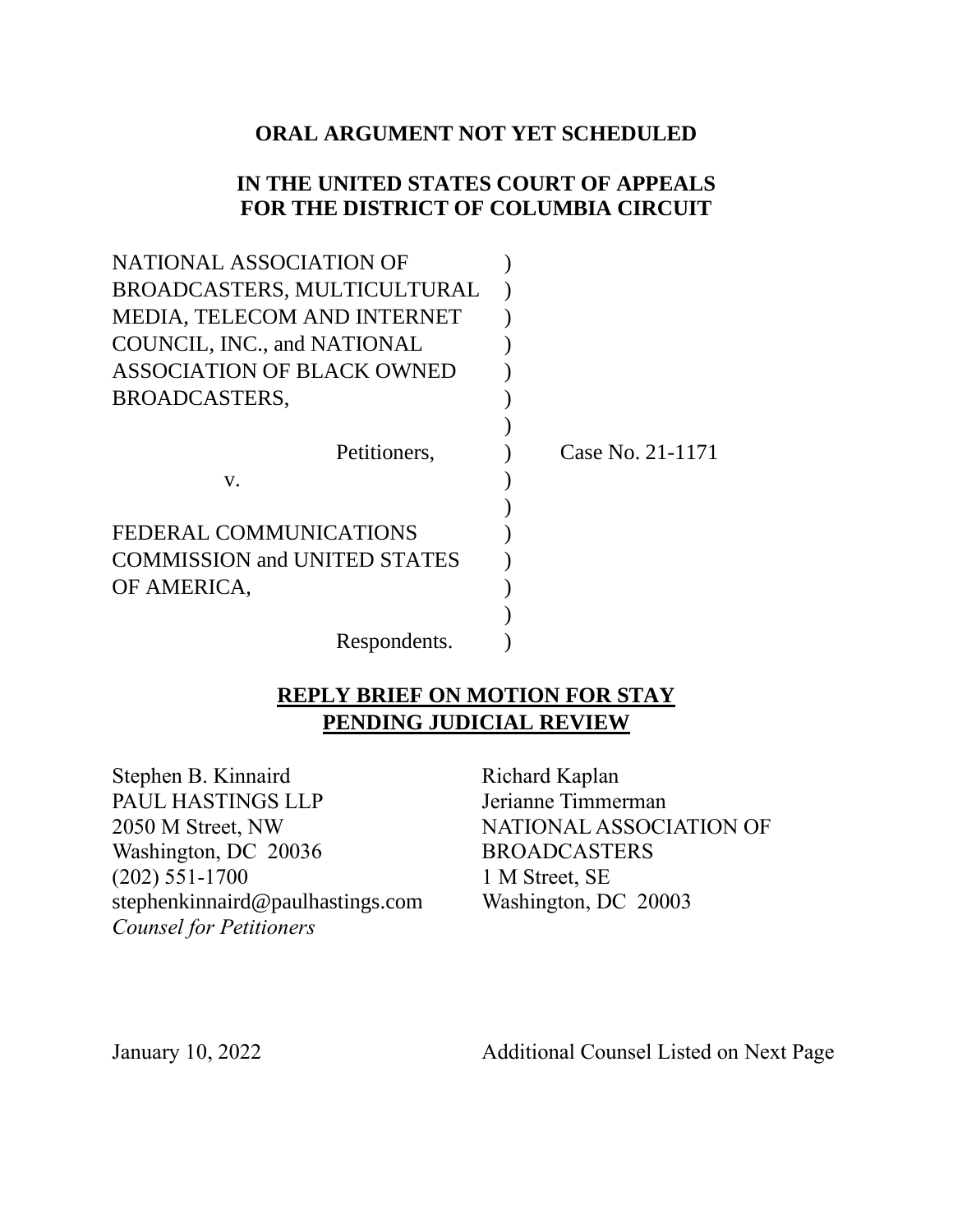# **ORAL ARGUMENT NOT YET SCHEDULED**

## **IN THE UNITED STATES COURT OF APPEALS FOR THE DISTRICT OF COLUMBIA CIRCUIT**

| NATIONAL ASSOCIATION OF             |                  |
|-------------------------------------|------------------|
| BROADCASTERS, MULTICULTURAL         |                  |
| MEDIA, TELECOM AND INTERNET         |                  |
| COUNCIL, INC., and NATIONAL         |                  |
| ASSOCIATION OF BLACK OWNED          |                  |
| BROADCASTERS,                       |                  |
|                                     |                  |
| Petitioners,                        | Case No. 21-1171 |
| V.                                  |                  |
|                                     |                  |
| FEDERAL COMMUNICATIONS              |                  |
| <b>COMMISSION and UNITED STATES</b> |                  |
| OF AMERICA,                         |                  |
|                                     |                  |
| Respondents.                        |                  |

# **REPLY BRIEF ON MOTION FOR STAY PENDING JUDICIAL REVIEW**

Stephen B. Kinnaird PAUL HASTINGS LLP 2050 M Street, NW Washington, DC 20036 (202) 551-1700 stephenkinnaird@paulhastings.com *Counsel for Petitioners*

Richard Kaplan Jerianne Timmerman NATIONAL ASSOCIATION OF BROADCASTERS 1 M Street, SE Washington, DC 20003

January 10, 2022

Additional Counsel Listed on Next Page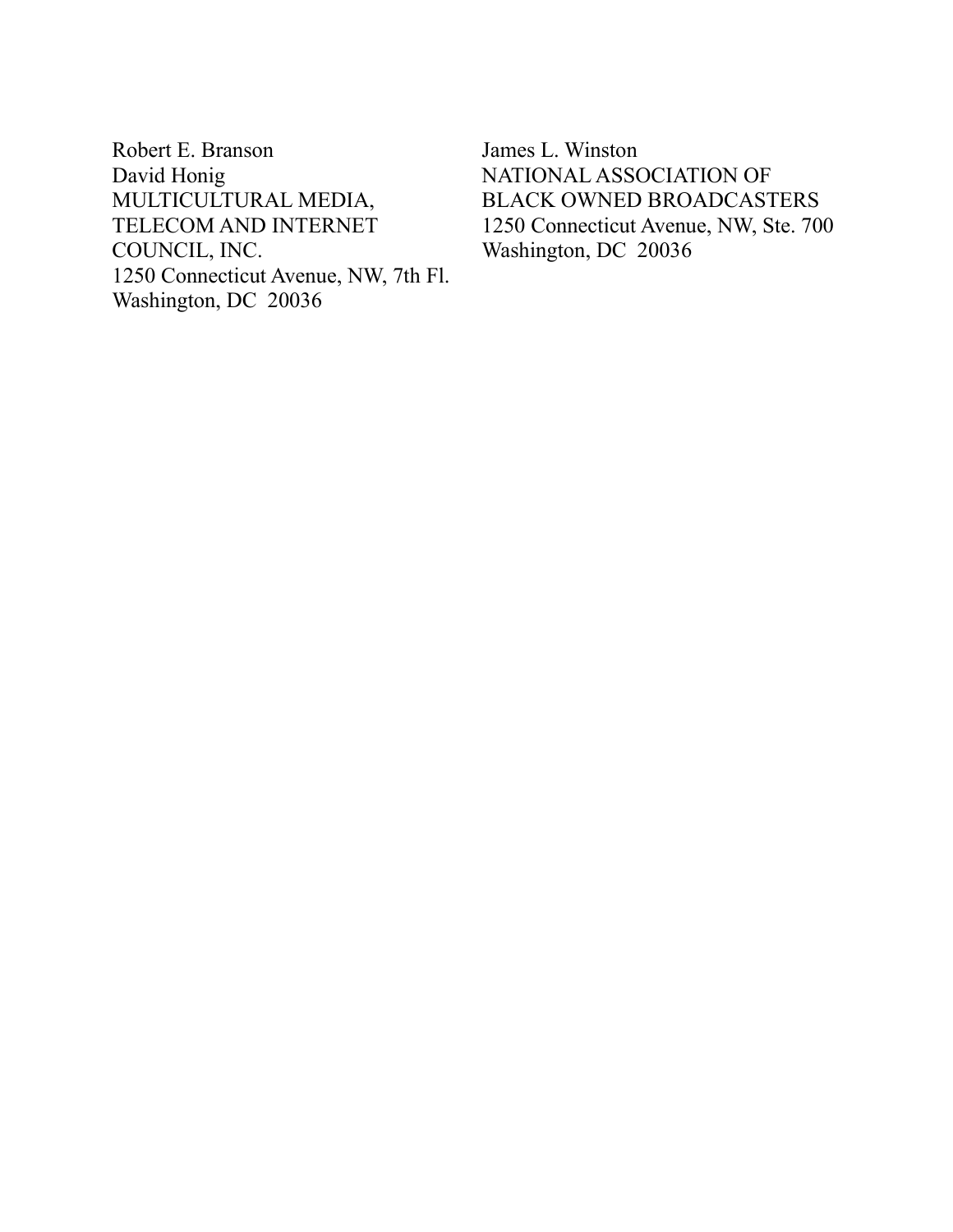Robert E. Branson David Honig MULTICULTURAL MEDIA, TELECOM AND INTERNET COUNCIL, INC. 1250 Connecticut Avenue, NW, 7th Fl. Washington, DC 20036

James L. Winston NATIONAL ASSOCIATION OF BLACK OWNED BROADCASTERS 1250 Connecticut Avenue, NW, Ste. 700 Washington, DC 20036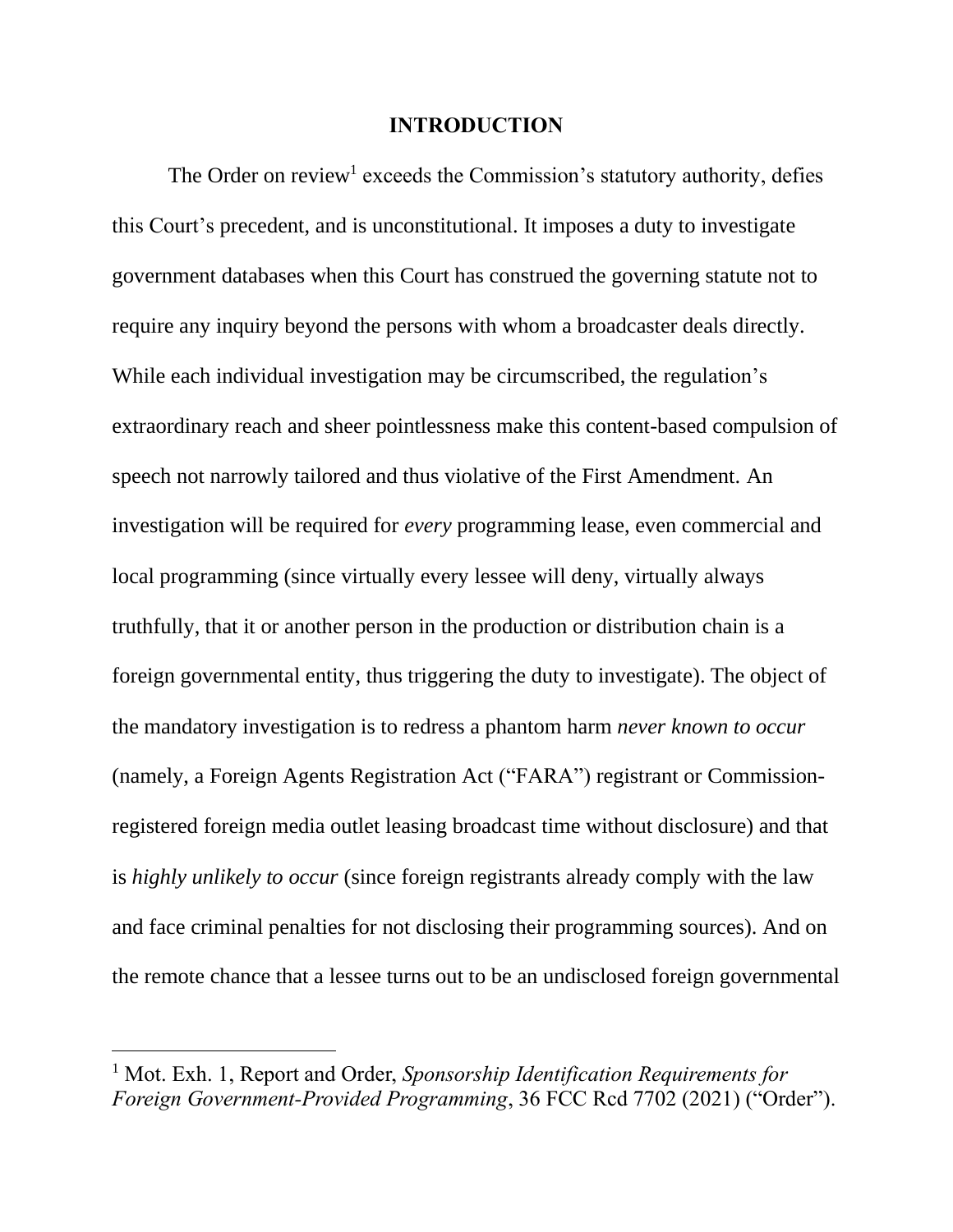#### **INTRODUCTION**

The Order on review<sup>1</sup> exceeds the Commission's statutory authority, defies this Court's precedent, and is unconstitutional. It imposes a duty to investigate government databases when this Court has construed the governing statute not to require any inquiry beyond the persons with whom a broadcaster deals directly. While each individual investigation may be circumscribed, the regulation's extraordinary reach and sheer pointlessness make this content-based compulsion of speech not narrowly tailored and thus violative of the First Amendment. An investigation will be required for *every* programming lease, even commercial and local programming (since virtually every lessee will deny, virtually always truthfully, that it or another person in the production or distribution chain is a foreign governmental entity, thus triggering the duty to investigate). The object of the mandatory investigation is to redress a phantom harm *never known to occur* (namely, a Foreign Agents Registration Act ("FARA") registrant or Commissionregistered foreign media outlet leasing broadcast time without disclosure) and that is *highly unlikely to occur* (since foreign registrants already comply with the law and face criminal penalties for not disclosing their programming sources). And on the remote chance that a lessee turns out to be an undisclosed foreign governmental

<sup>1</sup> Mot. Exh. 1, Report and Order, *Sponsorship Identification Requirements for Foreign Government-Provided Programming*, 36 FCC Rcd 7702 (2021) ("Order").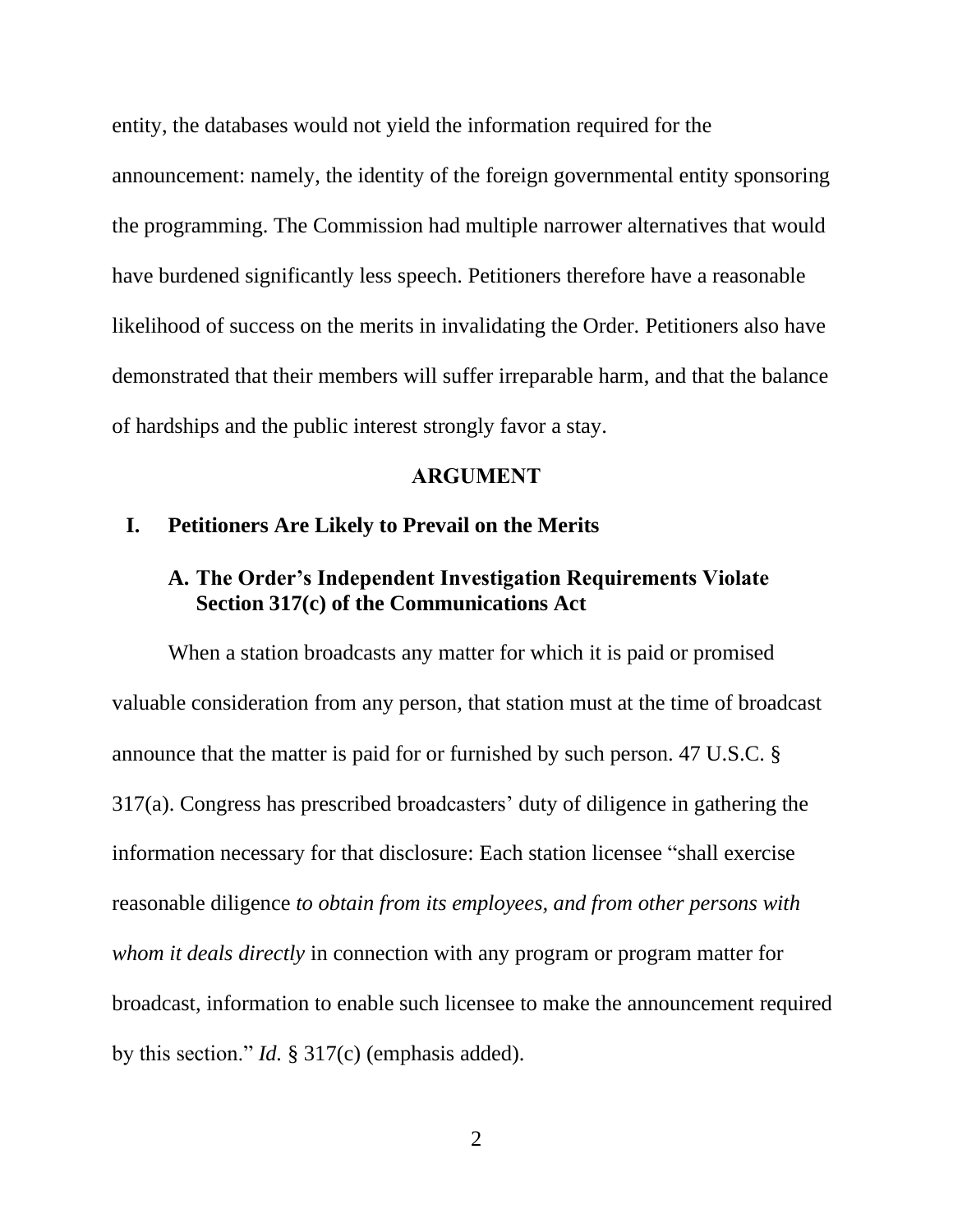entity, the databases would not yield the information required for the announcement: namely, the identity of the foreign governmental entity sponsoring the programming. The Commission had multiple narrower alternatives that would have burdened significantly less speech. Petitioners therefore have a reasonable likelihood of success on the merits in invalidating the Order. Petitioners also have demonstrated that their members will suffer irreparable harm, and that the balance of hardships and the public interest strongly favor a stay.

#### **ARGUMENT**

### **I. Petitioners Are Likely to Prevail on the Merits**

### **A. The Order's Independent Investigation Requirements Violate Section 317(c) of the Communications Act**

When a station broadcasts any matter for which it is paid or promised valuable consideration from any person, that station must at the time of broadcast announce that the matter is paid for or furnished by such person. 47 U.S.C. § 317(a). Congress has prescribed broadcasters' duty of diligence in gathering the information necessary for that disclosure: Each station licensee "shall exercise reasonable diligence *to obtain from its employees, and from other persons with whom it deals directly* in connection with any program or program matter for broadcast, information to enable such licensee to make the announcement required by this section." *Id.* § 317(c) (emphasis added).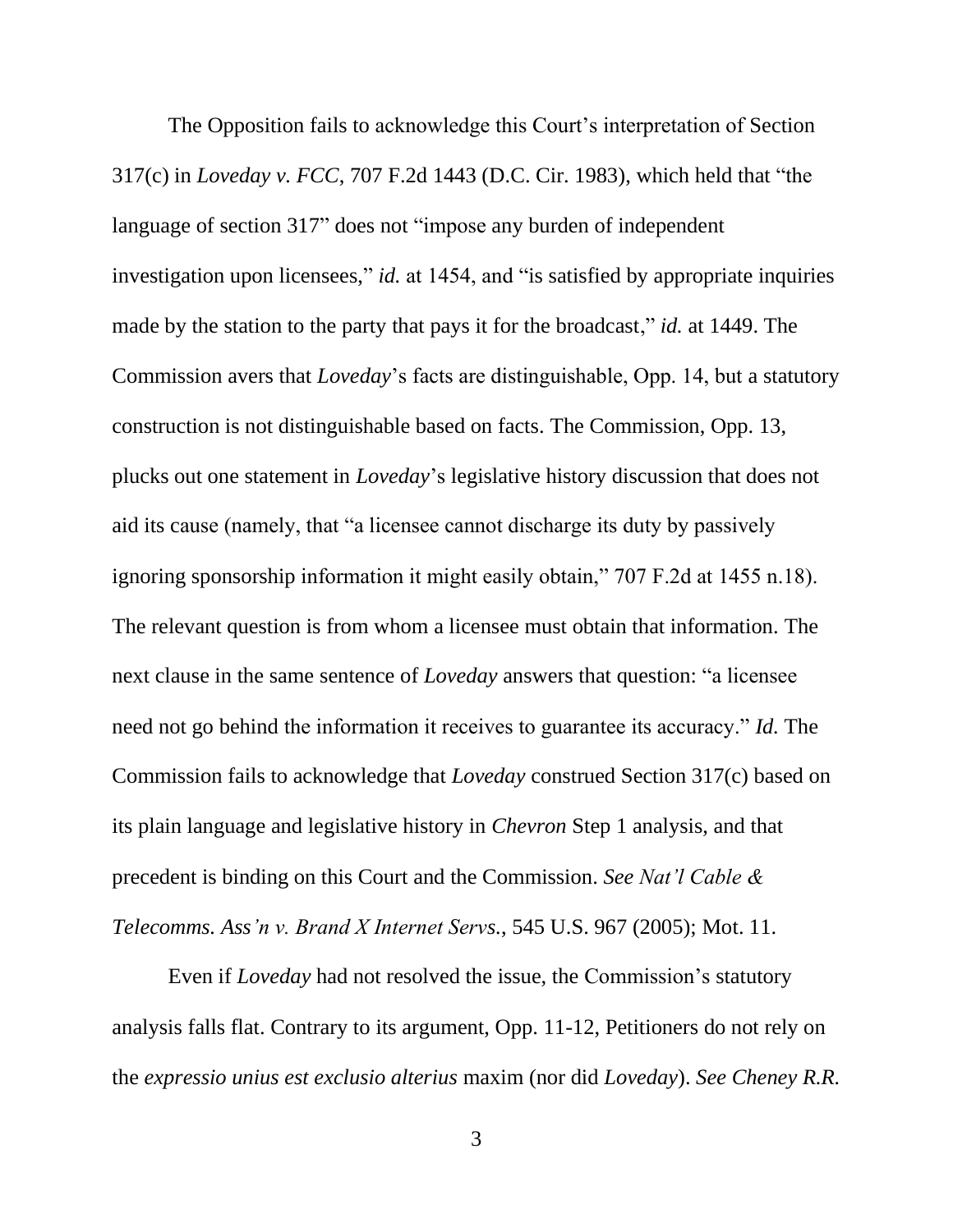The Opposition fails to acknowledge this Court's interpretation of Section 317(c) in *Loveday v. FCC*, 707 F.2d 1443 (D.C. Cir. 1983), which held that "the language of section 317" does not "impose any burden of independent investigation upon licensees," *id.* at 1454, and "is satisfied by appropriate inquiries made by the station to the party that pays it for the broadcast," *id.* at 1449. The Commission avers that *Loveday*'s facts are distinguishable, Opp. 14, but a statutory construction is not distinguishable based on facts. The Commission, Opp. 13, plucks out one statement in *Loveday*'s legislative history discussion that does not aid its cause (namely, that "a licensee cannot discharge its duty by passively ignoring sponsorship information it might easily obtain," 707 F.2d at 1455 n.18). The relevant question is from whom a licensee must obtain that information. The next clause in the same sentence of *Loveday* answers that question: "a licensee need not go behind the information it receives to guarantee its accuracy." *Id.* The Commission fails to acknowledge that *Loveday* construed Section 317(c) based on its plain language and legislative history in *Chevron* Step 1 analysis, and that precedent is binding on this Court and the Commission. *See Nat'l Cable & Telecomms. Ass'n v. Brand X Internet Servs.*, 545 U.S. 967 (2005); Mot. 11.

Even if *Loveday* had not resolved the issue, the Commission's statutory analysis falls flat. Contrary to its argument, Opp. 11-12, Petitioners do not rely on the *expressio unius est exclusio alterius* maxim (nor did *Loveday*). *See Cheney R.R.*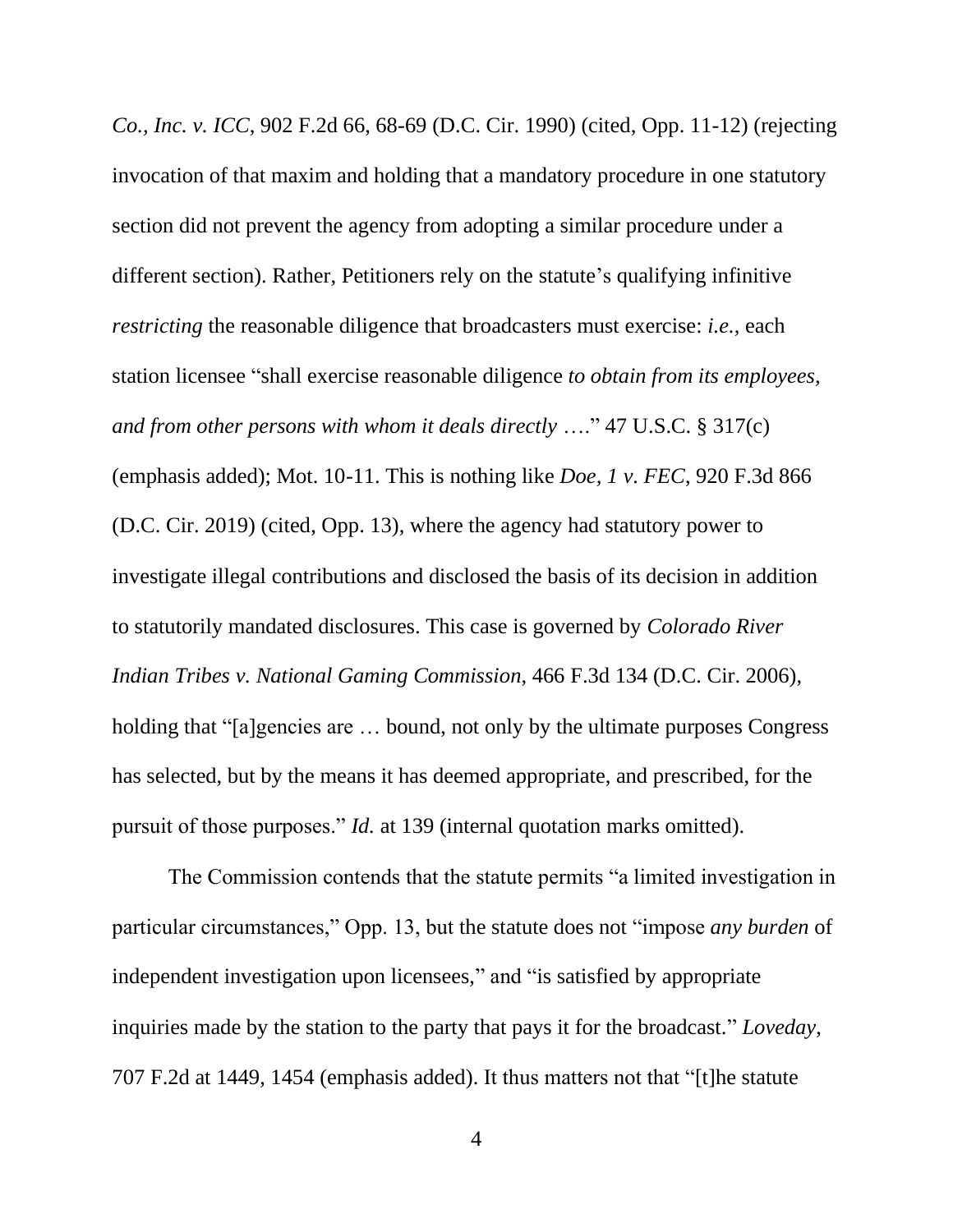*Co., Inc. v. ICC*, 902 F.2d 66, 68-69 (D.C. Cir. 1990) (cited, Opp. 11-12) (rejecting invocation of that maxim and holding that a mandatory procedure in one statutory section did not prevent the agency from adopting a similar procedure under a different section). Rather, Petitioners rely on the statute's qualifying infinitive *restricting* the reasonable diligence that broadcasters must exercise: *i.e.*, each station licensee "shall exercise reasonable diligence *to obtain from its employees, and from other persons with whom it deals directly* …." 47 U.S.C. § 317(c) (emphasis added); Mot. 10-11. This is nothing like *Doe, 1 v. FEC*, 920 F.3d 866 (D.C. Cir. 2019) (cited, Opp. 13), where the agency had statutory power to investigate illegal contributions and disclosed the basis of its decision in addition to statutorily mandated disclosures. This case is governed by *Colorado River Indian Tribes v. National Gaming Commission*, 466 F.3d 134 (D.C. Cir. 2006), holding that "[a]gencies are ... bound, not only by the ultimate purposes Congress has selected, but by the means it has deemed appropriate, and prescribed, for the pursuit of those purposes." *Id.* at 139 (internal quotation marks omitted).

The Commission contends that the statute permits "a limited investigation in particular circumstances," Opp. 13, but the statute does not "impose *any burden* of independent investigation upon licensees," and "is satisfied by appropriate inquiries made by the station to the party that pays it for the broadcast." *Loveday*, 707 F.2d at 1449, 1454 (emphasis added). It thus matters not that "[t]he statute

4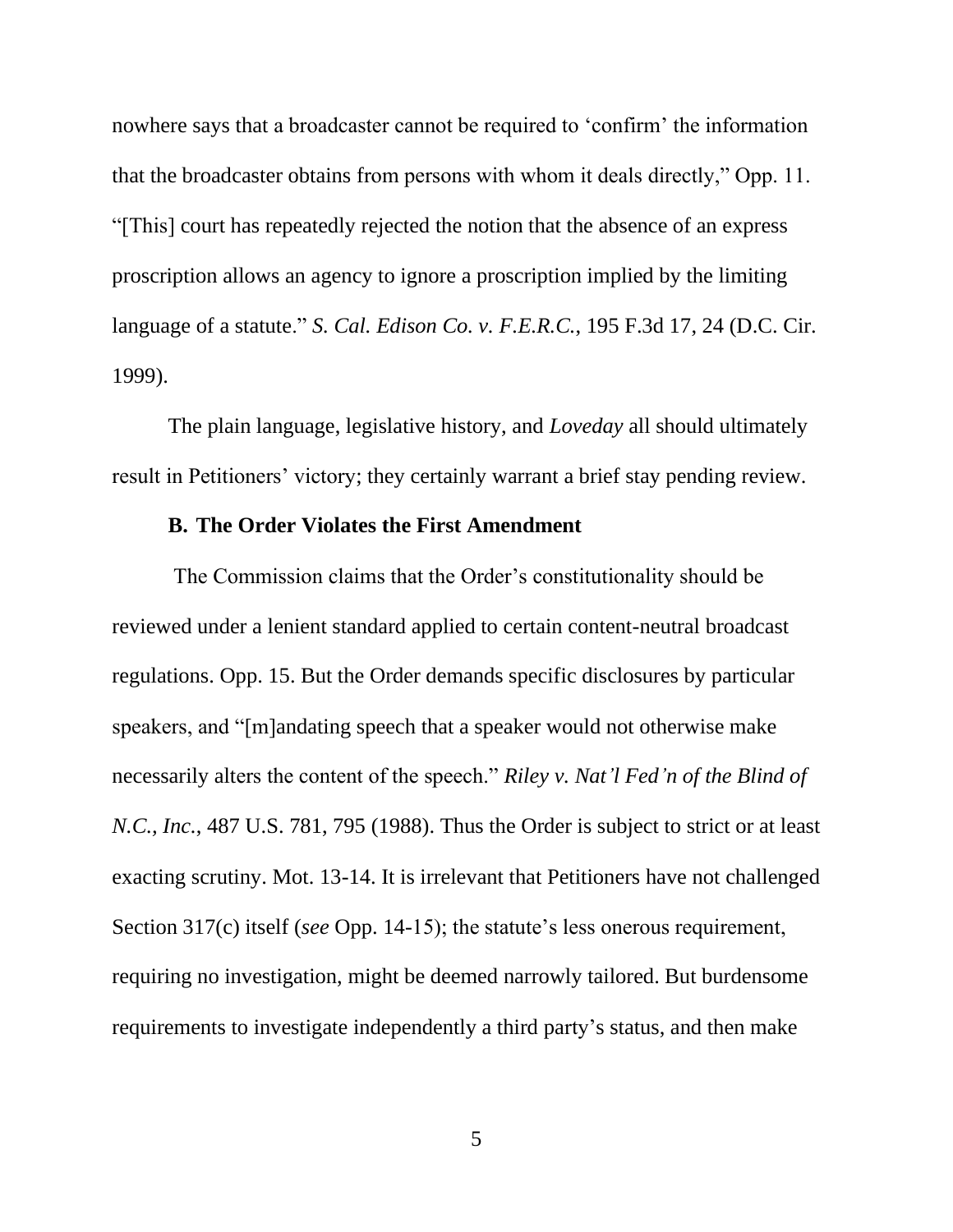nowhere says that a broadcaster cannot be required to 'confirm' the information that the broadcaster obtains from persons with whom it deals directly," Opp. 11. "[This] court has repeatedly rejected the notion that the absence of an express proscription allows an agency to ignore a proscription implied by the limiting language of a statute." *S. Cal. Edison Co. v. F.E.R.C.*, 195 F.3d 17, 24 (D.C. Cir. 1999).

The plain language, legislative history, and *Loveday* all should ultimately result in Petitioners' victory; they certainly warrant a brief stay pending review.

#### **B. The Order Violates the First Amendment**

The Commission claims that the Order's constitutionality should be reviewed under a lenient standard applied to certain content-neutral broadcast regulations. Opp. 15. But the Order demands specific disclosures by particular speakers, and "[m]andating speech that a speaker would not otherwise make necessarily alters the content of the speech." *Riley v. Nat'l Fed'n of the Blind of N.C., Inc.*, 487 U.S. 781, 795 (1988). Thus the Order is subject to strict or at least exacting scrutiny. Mot. 13-14. It is irrelevant that Petitioners have not challenged Section 317(c) itself (*see* Opp. 14-15); the statute's less onerous requirement, requiring no investigation, might be deemed narrowly tailored. But burdensome requirements to investigate independently a third party's status, and then make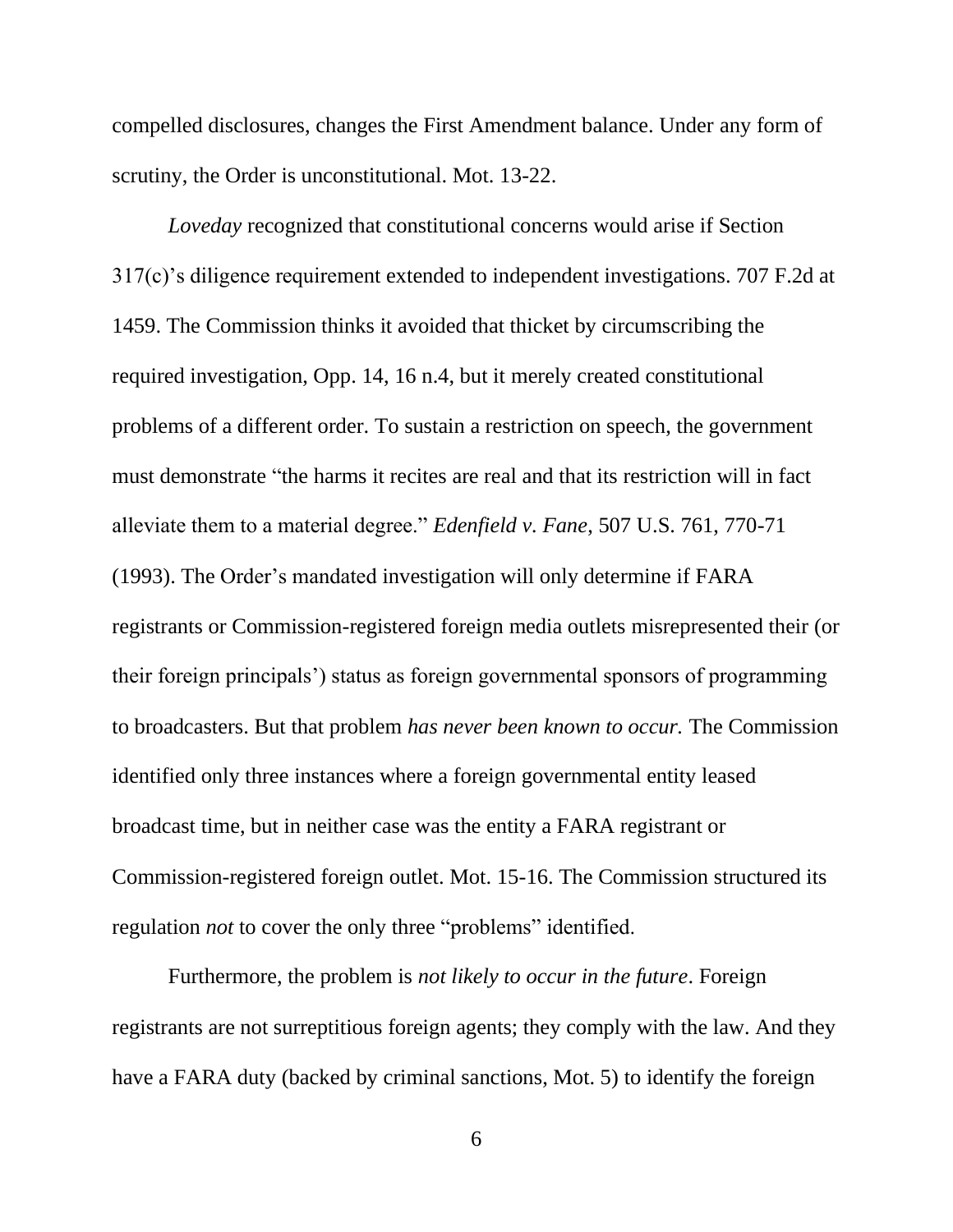compelled disclosures, changes the First Amendment balance. Under any form of scrutiny, the Order is unconstitutional. Mot. 13-22.

*Loveday* recognized that constitutional concerns would arise if Section 317(c)'s diligence requirement extended to independent investigations. 707 F.2d at 1459. The Commission thinks it avoided that thicket by circumscribing the required investigation, Opp. 14, 16 n.4, but it merely created constitutional problems of a different order. To sustain a restriction on speech, the government must demonstrate "the harms it recites are real and that its restriction will in fact alleviate them to a material degree." *Edenfield v. Fane*, 507 U.S. 761, 770-71 (1993). The Order's mandated investigation will only determine if FARA registrants or Commission-registered foreign media outlets misrepresented their (or their foreign principals') status as foreign governmental sponsors of programming to broadcasters. But that problem *has never been known to occur.* The Commission identified only three instances where a foreign governmental entity leased broadcast time, but in neither case was the entity a FARA registrant or Commission-registered foreign outlet. Mot. 15-16. The Commission structured its regulation *not* to cover the only three "problems" identified.

Furthermore, the problem is *not likely to occur in the future*. Foreign registrants are not surreptitious foreign agents; they comply with the law. And they have a FARA duty (backed by criminal sanctions, Mot. 5) to identify the foreign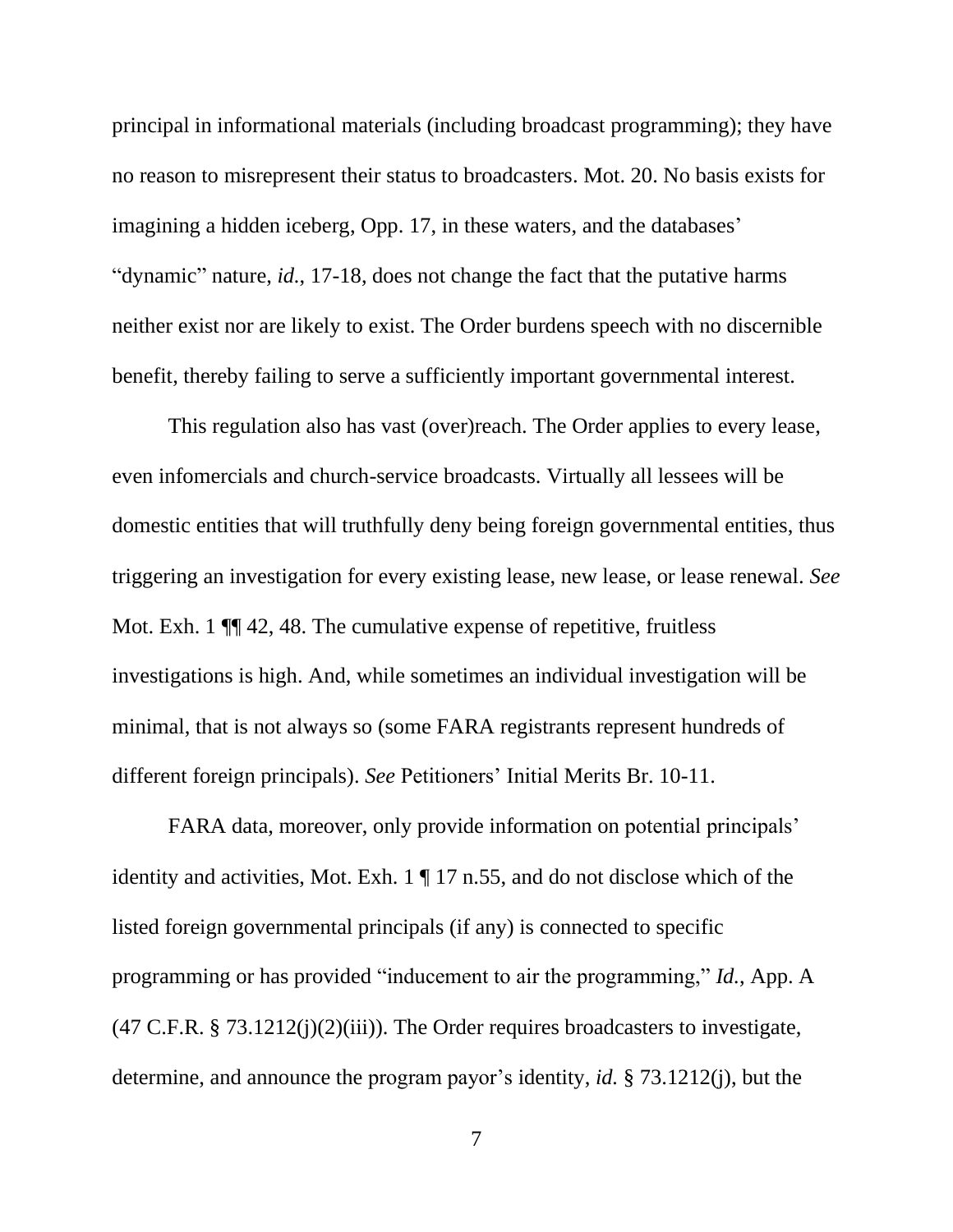principal in informational materials (including broadcast programming); they have no reason to misrepresent their status to broadcasters. Mot. 20. No basis exists for imagining a hidden iceberg, Opp. 17, in these waters, and the databases' "dynamic" nature, *id.*, 17-18, does not change the fact that the putative harms neither exist nor are likely to exist. The Order burdens speech with no discernible benefit, thereby failing to serve a sufficiently important governmental interest.

This regulation also has vast (over)reach. The Order applies to every lease, even infomercials and church-service broadcasts. Virtually all lessees will be domestic entities that will truthfully deny being foreign governmental entities, thus triggering an investigation for every existing lease, new lease, or lease renewal. *See*  Mot. Exh. 1  $\P$  42, 48. The cumulative expense of repetitive, fruitless investigations is high. And, while sometimes an individual investigation will be minimal, that is not always so (some FARA registrants represent hundreds of different foreign principals). *See* Petitioners' Initial Merits Br. 10-11.

FARA data, moreover, only provide information on potential principals' identity and activities, Mot. Exh. 1 ¶ 17 n.55, and do not disclose which of the listed foreign governmental principals (if any) is connected to specific programming or has provided "inducement to air the programming," *Id.*, App. A  $(47 \text{ C.F.R. } § 73.1212(i)(2)(iii))$ . The Order requires broadcasters to investigate, determine, and announce the program payor's identity, *id.* § 73.1212(j), but the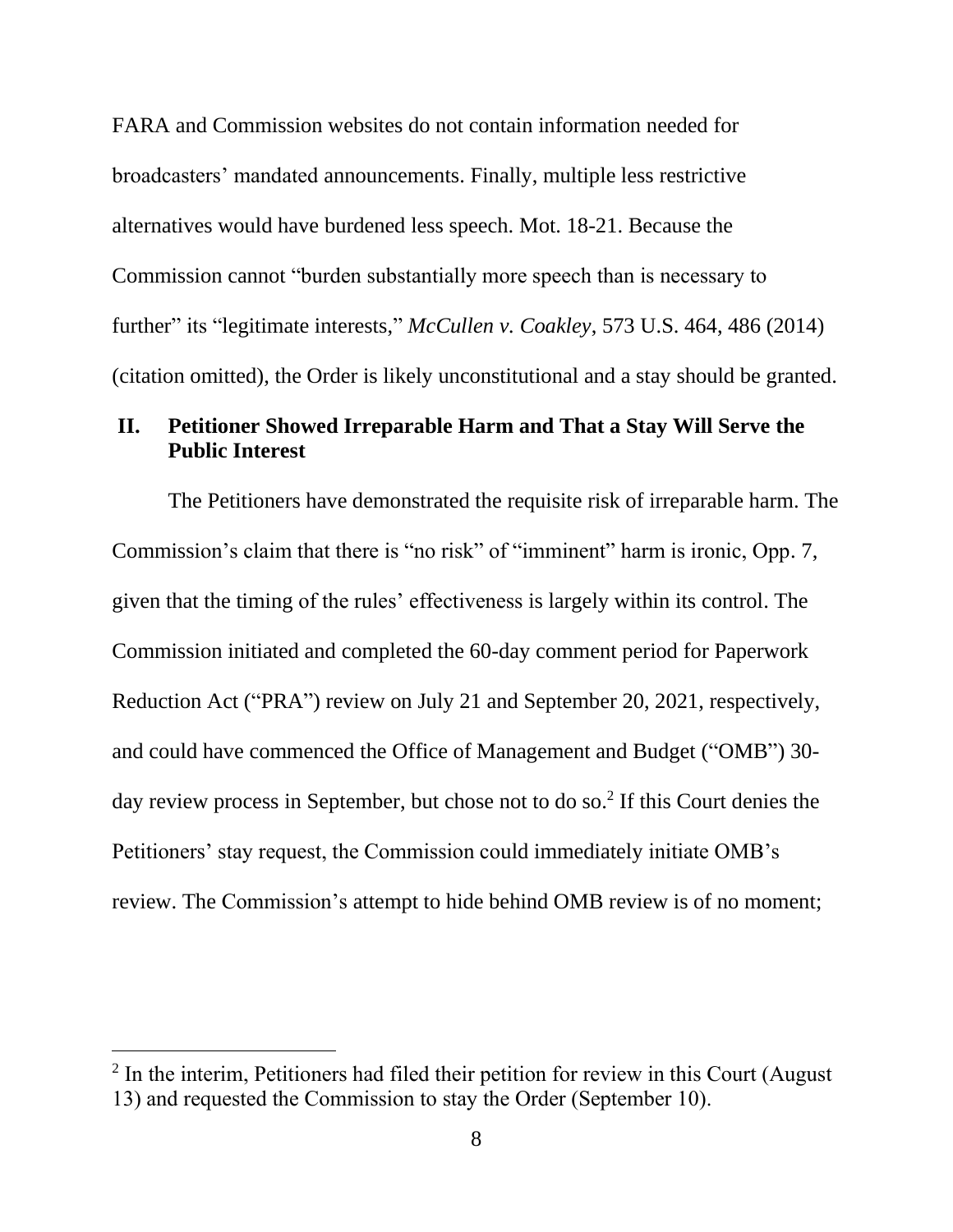FARA and Commission websites do not contain information needed for broadcasters' mandated announcements. Finally, multiple less restrictive alternatives would have burdened less speech. Mot. 18-21. Because the Commission cannot "burden substantially more speech than is necessary to further" its "legitimate interests," *McCullen v. Coakley*, 573 U.S. 464, 486 (2014) (citation omitted), the Order is likely unconstitutional and a stay should be granted.

### **II. Petitioner Showed Irreparable Harm and That a Stay Will Serve the Public Interest**

The Petitioners have demonstrated the requisite risk of irreparable harm. The Commission's claim that there is "no risk" of "imminent" harm is ironic, Opp. 7, given that the timing of the rules' effectiveness is largely within its control. The Commission initiated and completed the 60-day comment period for Paperwork Reduction Act ("PRA") review on July 21 and September 20, 2021, respectively, and could have commenced the Office of Management and Budget ("OMB") 30 day review process in September, but chose not to do so.<sup>2</sup> If this Court denies the Petitioners' stay request, the Commission could immediately initiate OMB's review. The Commission's attempt to hide behind OMB review is of no moment;

 $2$  In the interim, Petitioners had filed their petition for review in this Court (August 13) and requested the Commission to stay the Order (September 10).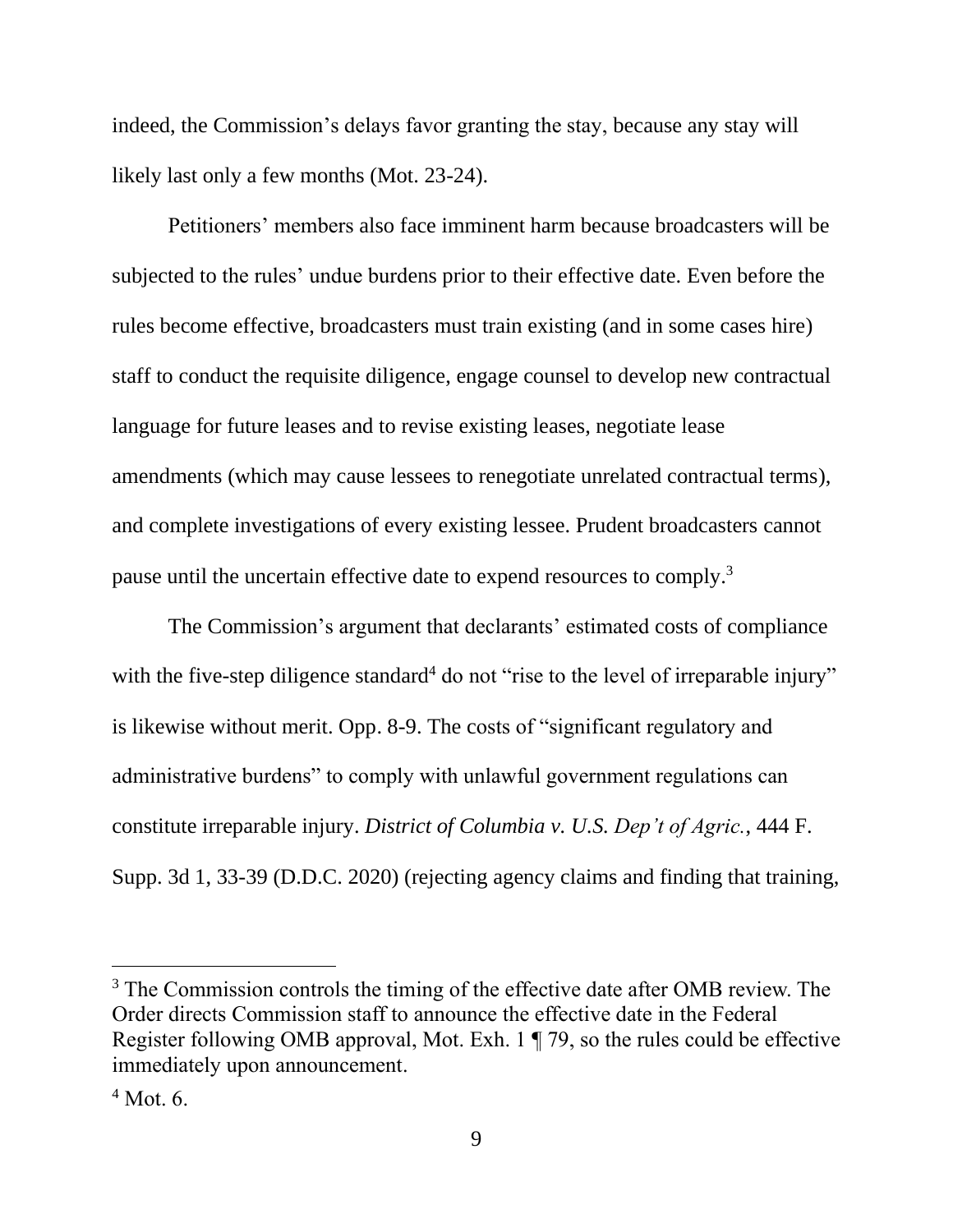indeed, the Commission's delays favor granting the stay, because any stay will likely last only a few months (Mot. 23-24).

Petitioners' members also face imminent harm because broadcasters will be subjected to the rules' undue burdens prior to their effective date. Even before the rules become effective, broadcasters must train existing (and in some cases hire) staff to conduct the requisite diligence, engage counsel to develop new contractual language for future leases and to revise existing leases, negotiate lease amendments (which may cause lessees to renegotiate unrelated contractual terms), and complete investigations of every existing lessee. Prudent broadcasters cannot pause until the uncertain effective date to expend resources to comply.<sup>3</sup>

The Commission's argument that declarants' estimated costs of compliance with the five-step diligence standard<sup>4</sup> do not "rise to the level of irreparable injury" is likewise without merit. Opp. 8-9. The costs of "significant regulatory and administrative burdens" to comply with unlawful government regulations can constitute irreparable injury. *District of Columbia v. U.S. Dep't of Agric.*, 444 F. Supp. 3d 1, 33-39 (D.D.C. 2020) (rejecting agency claims and finding that training,

<sup>&</sup>lt;sup>3</sup> The Commission controls the timing of the effective date after OMB review. The Order directs Commission staff to announce the effective date in the Federal Register following OMB approval, Mot. Exh. 1 ¶ 79, so the rules could be effective immediately upon announcement.

 $4$  Mot. 6.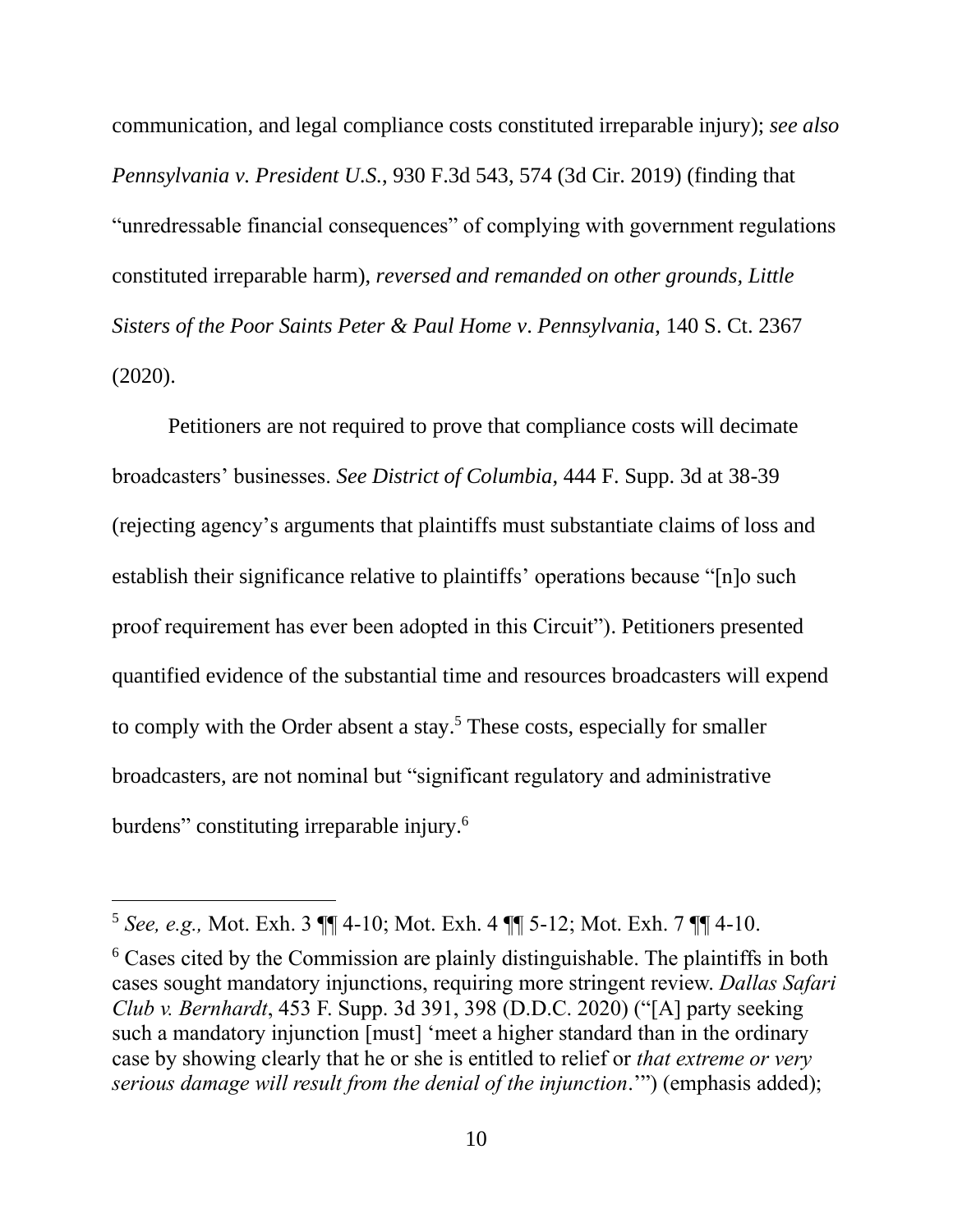communication, and legal compliance costs constituted irreparable injury); *see also Pennsylvania v. President U.S.*, 930 F.3d 543, 574 (3d Cir. 2019) (finding that "unredressable financial consequences" of complying with government regulations constituted irreparable harm), *reversed and remanded on other grounds, Little Sisters of the Poor Saints Peter & Paul Home v*. *Pennsylvania*, 140 S. Ct. 2367 (2020).

Petitioners are not required to prove that compliance costs will decimate broadcasters' businesses. *See District of Columbia*, 444 F. Supp. 3d at 38-39 (rejecting agency's arguments that plaintiffs must substantiate claims of loss and establish their significance relative to plaintiffs' operations because "[n]o such proof requirement has ever been adopted in this Circuit"). Petitioners presented quantified evidence of the substantial time and resources broadcasters will expend to comply with the Order absent a stay. <sup>5</sup> These costs, especially for smaller broadcasters, are not nominal but "significant regulatory and administrative burdens" constituting irreparable injury.<sup>6</sup>

<sup>5</sup> *See, e.g.,* Mot. Exh. 3 ¶¶ 4-10; Mot. Exh. 4 ¶¶ 5-12; Mot. Exh. 7 ¶¶ 4-10.

<sup>6</sup> Cases cited by the Commission are plainly distinguishable. The plaintiffs in both cases sought mandatory injunctions, requiring more stringent review. *Dallas Safari Club v. Bernhardt*, 453 F. Supp. 3d 391, 398 (D.D.C. 2020) ("[A] party seeking such a mandatory injunction [must] 'meet a higher standard than in the ordinary case by showing clearly that he or she is entitled to relief or *that extreme or very serious damage will result from the denial of the injunction*.'") (emphasis added);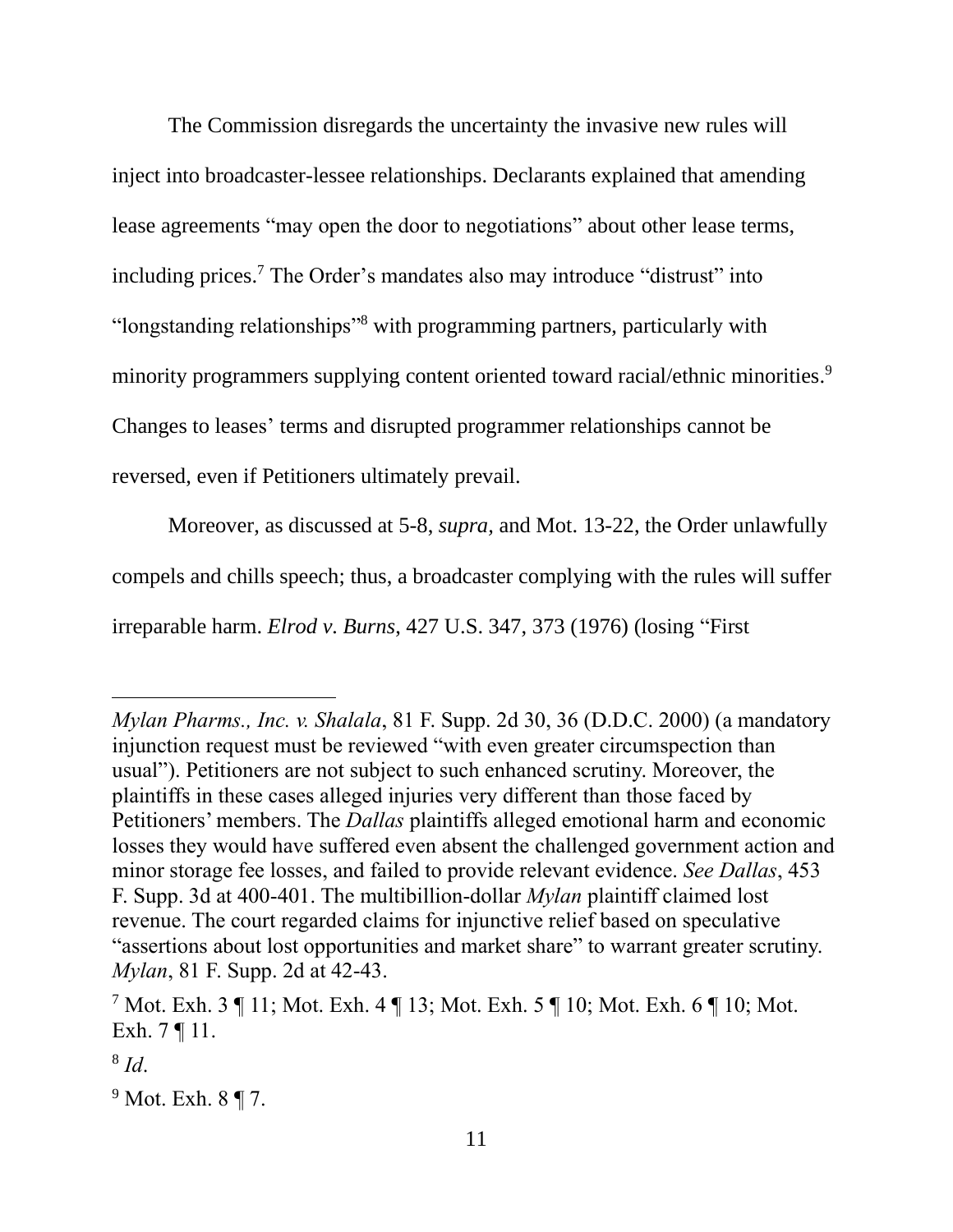The Commission disregards the uncertainty the invasive new rules will inject into broadcaster-lessee relationships. Declarants explained that amending lease agreements "may open the door to negotiations" about other lease terms, including prices. <sup>7</sup> The Order's mandates also may introduce "distrust" into "longstanding relationships"<sup>8</sup> with programming partners, particularly with minority programmers supplying content oriented toward racial/ethnic minorities. 9 Changes to leases' terms and disrupted programmer relationships cannot be reversed, even if Petitioners ultimately prevail.

Moreover, as discussed at 5-8, *supra,* and Mot. 13-22, the Order unlawfully compels and chills speech; thus, a broadcaster complying with the rules will suffer irreparable harm. *Elrod v. Burns*, 427 U.S. 347, 373 (1976) (losing "First

*Mylan Pharms., Inc. v. Shalala*, 81 F. Supp. 2d 30, 36 (D.D.C. 2000) (a mandatory injunction request must be reviewed "with even greater circumspection than usual"). Petitioners are not subject to such enhanced scrutiny. Moreover, the plaintiffs in these cases alleged injuries very different than those faced by Petitioners' members. The *Dallas* plaintiffs alleged emotional harm and economic losses they would have suffered even absent the challenged government action and minor storage fee losses, and failed to provide relevant evidence. *See Dallas*, 453 F. Supp. 3d at 400-401. The multibillion-dollar *Mylan* plaintiff claimed lost revenue. The court regarded claims for injunctive relief based on speculative "assertions about lost opportunities and market share" to warrant greater scrutiny. *Mylan*, 81 F. Supp. 2d at 42-43.

<sup>7</sup> Mot. Exh. 3 ¶ 11; Mot. Exh. 4 ¶ 13; Mot. Exh. 5 ¶ 10; Mot. Exh. 6 ¶ 10; Mot. Exh. 7 ¶ 11.

<sup>8</sup> *Id*.

<sup>9</sup> Mot. Exh. 8 ¶ 7.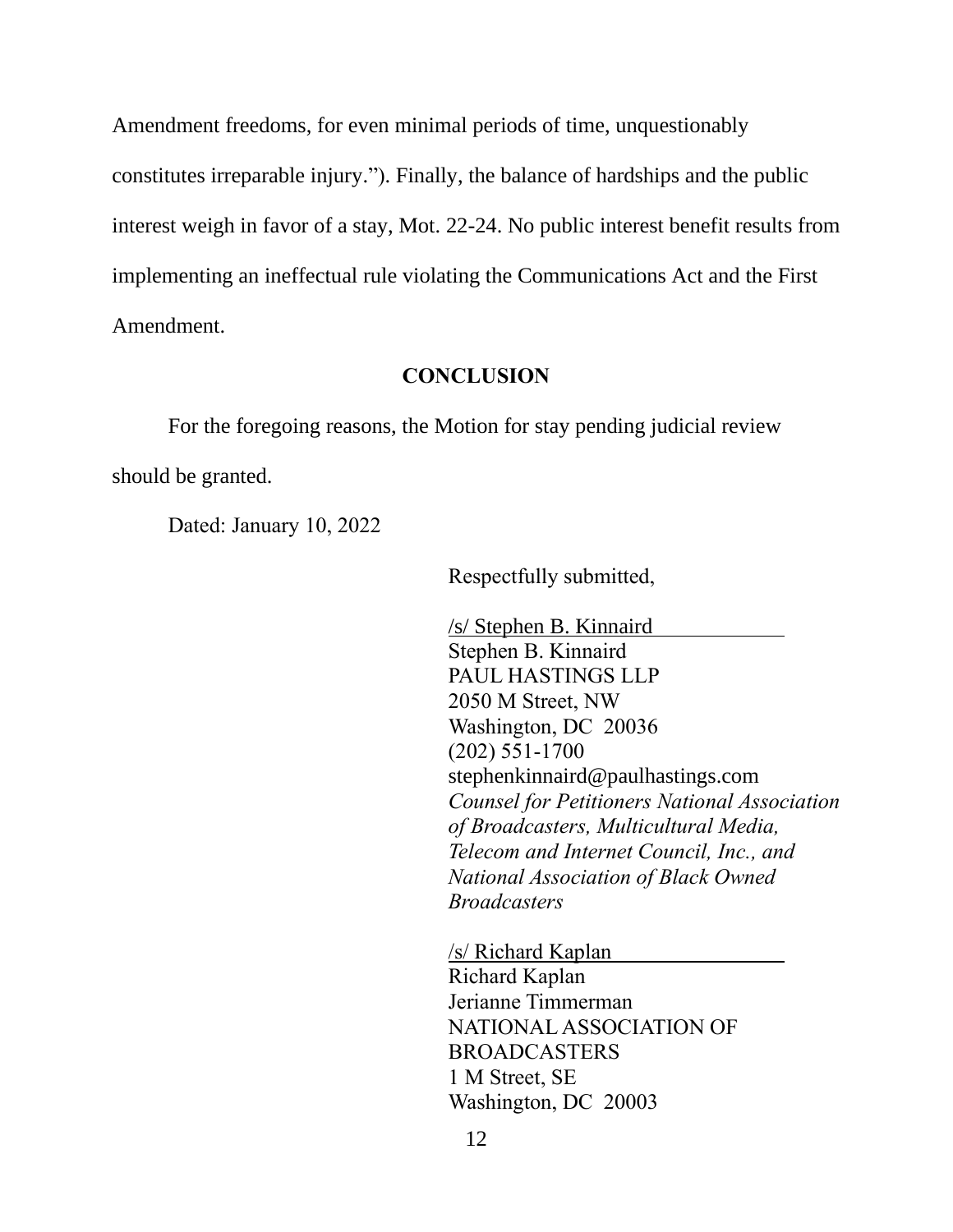Amendment freedoms, for even minimal periods of time, unquestionably constitutes irreparable injury."). Finally, the balance of hardships and the public interest weigh in favor of a stay, Mot. 22-24. No public interest benefit results from implementing an ineffectual rule violating the Communications Act and the First Amendment.

#### **CONCLUSION**

For the foregoing reasons, the Motion for stay pending judicial review should be granted.

Dated: January 10, 2022

Respectfully submitted,

/s/ Stephen B. Kinnaird Stephen B. Kinnaird PAUL HASTINGS LLP 2050 M Street, NW Washington, DC 20036 (202) 551-1700 stephenkinnaird@paulhastings.com *Counsel for Petitioners National Association of Broadcasters, Multicultural Media, Telecom and Internet Council, Inc., and National Association of Black Owned Broadcasters*

/s/ Richard Kaplan Richard Kaplan Jerianne Timmerman NATIONAL ASSOCIATION OF BROADCASTERS 1 M Street, SE Washington, DC 20003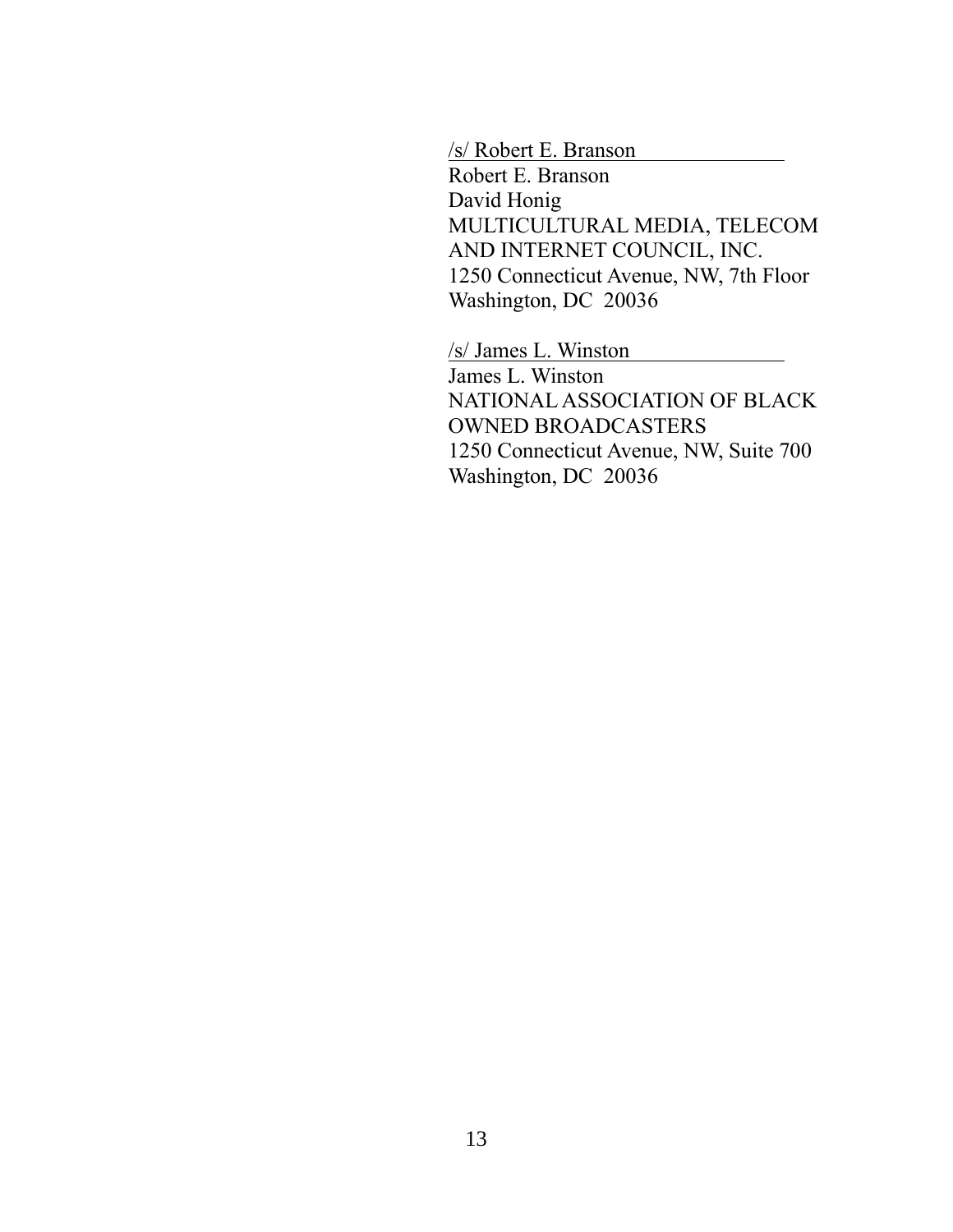/s/ Robert E. Branson

Robert E. Branson David Honig MULTICULTURAL MEDIA, TELECOM AND INTERNET COUNCIL, INC. 1250 Connecticut Avenue, NW, 7th Floor Washington, DC 20036

/s/ James L. Winston James L. Winston NATIONAL ASSOCIATION OF BLACK OWNED BROADCASTERS 1250 Connecticut Avenue, NW, Suite 700 Washington, DC 20036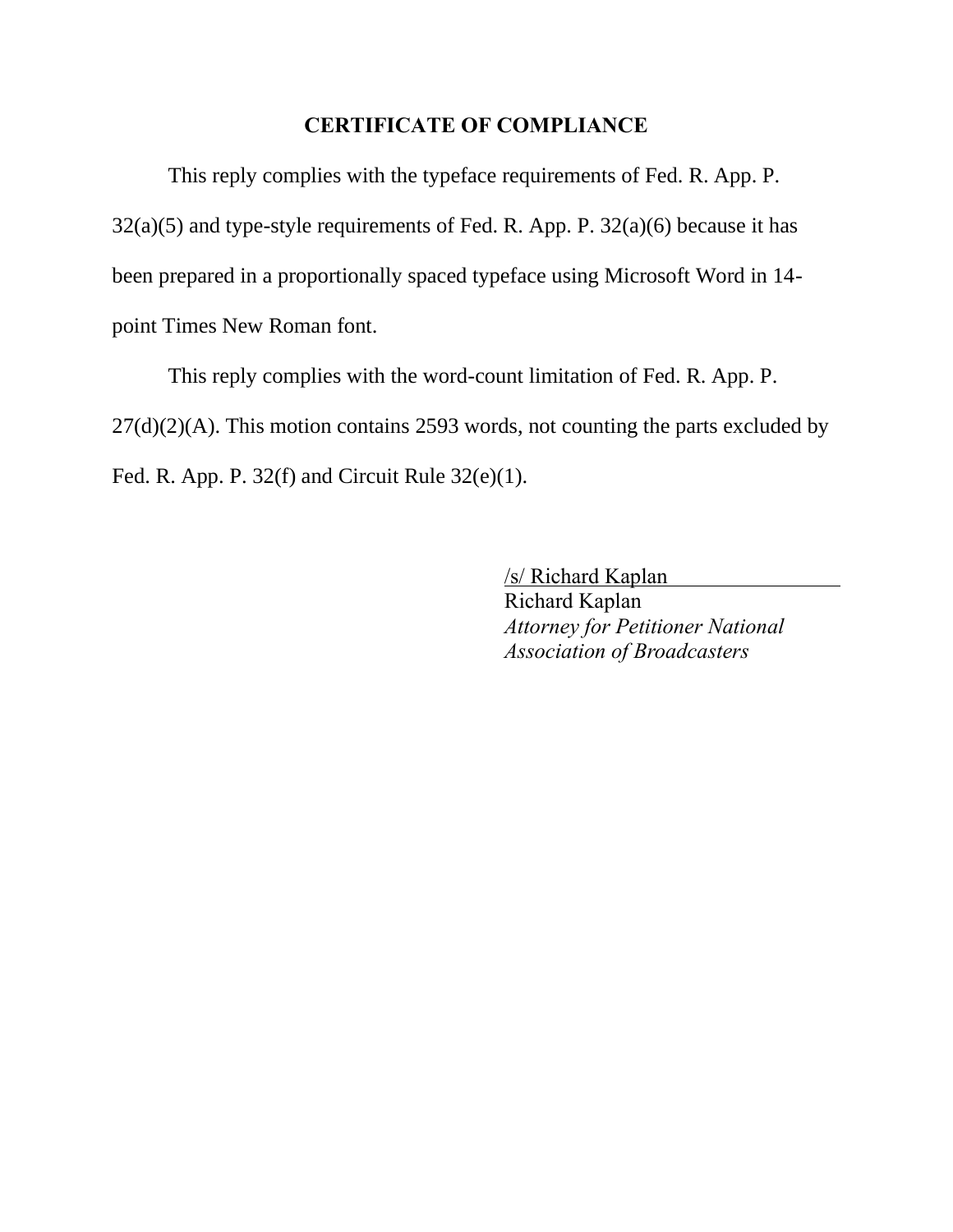# **CERTIFICATE OF COMPLIANCE**

This reply complies with the typeface requirements of Fed. R. App. P.  $32(a)(5)$  and type-style requirements of Fed. R. App. P.  $32(a)(6)$  because it has been prepared in a proportionally spaced typeface using Microsoft Word in 14 point Times New Roman font.

This reply complies with the word-count limitation of Fed. R. App. P. 27(d)(2)(A). This motion contains 2593 words, not counting the parts excluded by Fed. R. App. P. 32(f) and Circuit Rule 32(e)(1).

> /s/ Richard Kaplan Richard Kaplan *Attorney for Petitioner National Association of Broadcasters*